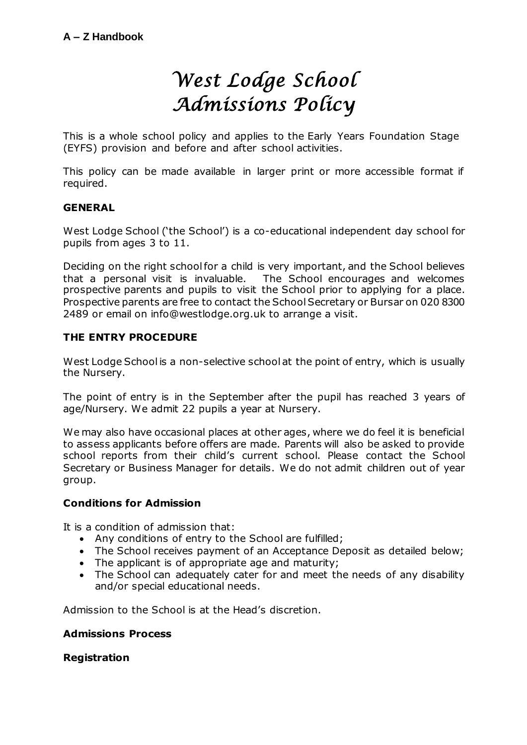# *West Lodge School Admissions Policy*

This is a whole school policy and applies to the Early Years Foundation Stage (EYFS) provision and before and after school activities.

This policy can be made available in larger print or more accessible format if required.

# **GENERAL**

West Lodge School ('the School') is a co-educational independent day school for pupils from ages 3 to 11.

Deciding on the right school for a child is very important, and the School believes that a personal visit is invaluable. The School encourages and welcomes prospective parents and pupils to visit the School prior to applying for a place. Prospective parents are free to contact the School Secretary or Bursar on 020 8300 2489 or email on info@westlodge.org.uk to arrange a visit.

### **THE ENTRY PROCEDURE**

West Lodge School is a non-selective school at the point of entry, which is usually the Nursery.

The point of entry is in the September after the pupil has reached 3 years of age/Nursery. We admit 22 pupils a year at Nursery.

We may also have occasional places at other ages, where we do feel it is beneficial to assess applicants before offers are made. Parents will also be asked to provide school reports from their child's current school. Please contact the School Secretary or Business Manager for details. We do not admit children out of year group.

### **Conditions for Admission**

It is a condition of admission that:

- Any conditions of entry to the School are fulfilled;
- The School receives payment of an Acceptance Deposit as detailed below;
- The applicant is of appropriate age and maturity;
- The School can adequately cater for and meet the needs of any disability and/or special educational needs.

Admission to the School is at the Head's discretion.

#### **Admissions Process**

#### **Registration**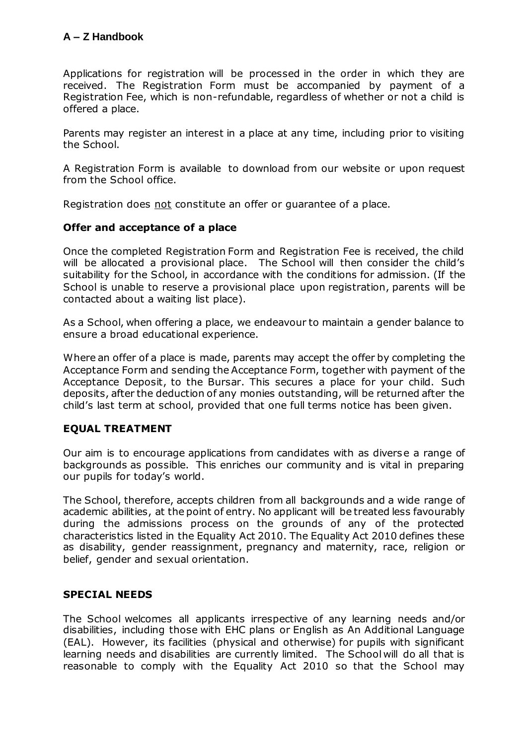Applications for registration will be processed in the order in which they are received. The Registration Form must be accompanied by payment of a Registration Fee, which is non-refundable, regardless of whether or not a child is offered a place.

Parents may register an interest in a place at any time, including prior to visiting the School.

A Registration Form is available to download from our website or upon request from the School office.

Registration does not constitute an offer or guarantee of a place.

# **Offer and acceptance of a place**

Once the completed Registration Form and Registration Fee is received, the child will be allocated a provisional place. The School will then consider the child's suitability for the School, in accordance with the conditions for admission. (If the School is unable to reserve a provisional place upon registration, parents will be contacted about a waiting list place).

As a School, when offering a place, we endeavour to maintain a gender balance to ensure a broad educational experience.

Where an offer of a place is made, parents may accept the offer by completing the Acceptance Form and sending the Acceptance Form, together with payment of the Acceptance Deposit, to the Bursar. This secures a place for your child. Such deposits, after the deduction of any monies outstanding, will be returned after the child's last term at school, provided that one full terms notice has been given.

# **EQUAL TREATMENT**

Our aim is to encourage applications from candidates with as diverse a range of backgrounds as possible. This enriches our community and is vital in preparing our pupils for today's world.

The School, therefore, accepts children from all backgrounds and a wide range of academic abilities, at the point of entry. No applicant will be treated less favourably during the admissions process on the grounds of any of the protected characteristics listed in the Equality Act 2010. The Equality Act 2010 defines these as disability, gender reassignment, pregnancy and maternity, race, religion or belief, gender and sexual orientation.

# **SPECIAL NEEDS**

The School welcomes all applicants irrespective of any learning needs and/or disabilities, including those with EHC plans or English as An Additional Language (EAL). However, its facilities (physical and otherwise) for pupils with significant learning needs and disabilities are currently limited. The School will do all that is reasonable to comply with the Equality Act 2010 so that the School may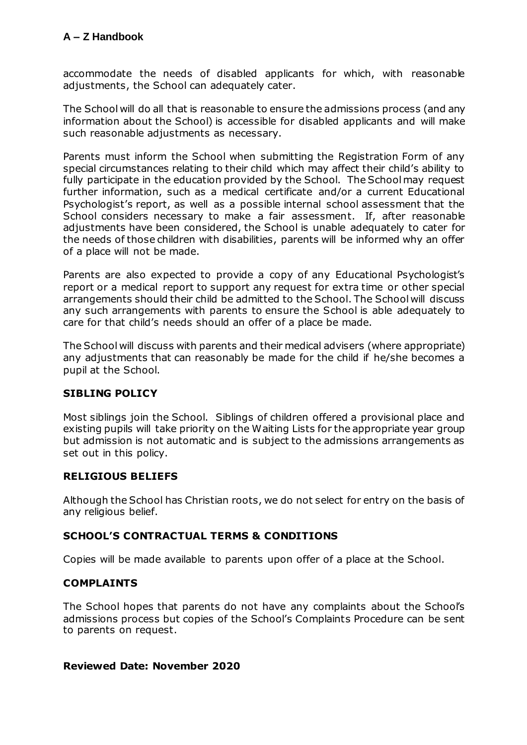# **A – Z Handbook**

accommodate the needs of disabled applicants for which, with reasonable adjustments, the School can adequately cater.

The School will do all that is reasonable to ensure the admissions process (and any information about the School) is accessible for disabled applicants and will make such reasonable adjustments as necessary.

Parents must inform the School when submitting the Registration Form of any special circumstances relating to their child which may affect their child's ability to fully participate in the education provided by the School. The School may request further information, such as a medical certificate and/or a current Educational Psychologist's report, as well as a possible internal school assessment that the School considers necessary to make a fair assessment. If, after reasonable adjustments have been considered, the School is unable adequately to cater for the needs of those children with disabilities, parents will be informed why an offer of a place will not be made.

Parents are also expected to provide a copy of any Educational Psychologist's report or a medical report to support any request for extra time or other special arrangements should their child be admitted to the School. The School will discuss any such arrangements with parents to ensure the School is able adequately to care for that child's needs should an offer of a place be made.

The School will discuss with parents and their medical advisers (where appropriate) any adjustments that can reasonably be made for the child if he/she becomes a pupil at the School.

# **SIBLING POLICY**

Most siblings join the School. Siblings of children offered a provisional place and existing pupils will take priority on the Waiting Lists for the appropriate year group but admission is not automatic and is subject to the admissions arrangements as set out in this policy.

#### **RELIGIOUS BELIEFS**

Although the School has Christian roots, we do not select for entry on the basis of any religious belief.

#### **SCHOOL'S CONTRACTUAL TERMS & CONDITIONS**

Copies will be made available to parents upon offer of a place at the School.

# **COMPLAINTS**

The School hopes that parents do not have any complaints about the School's admissions process but copies of the School's Complaints Procedure can be sent to parents on request.

#### **Reviewed Date: November 2020**